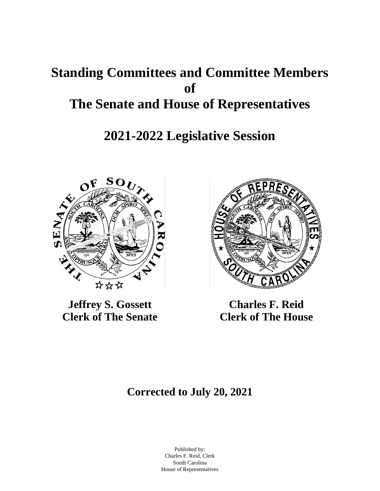# **Standing Committees and Committee Members of The Senate and House of Representatives**

# **2021-2022 Legislative Session**



**Jeffrey S. Gossett Clerk of The Senate**



**Charles F. Reid Clerk of The House**

# **Corrected to July 20, 2021**

Published by: Charles F. Reid, Clerk South Carolina House of Representatives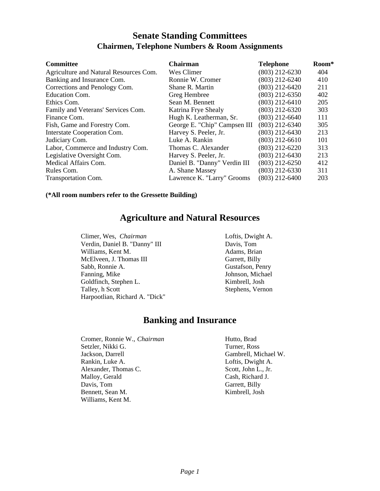# **Senate Standing Committees Chairmen, Telephone Numbers & Room Assignments**

| <b>Committee</b>                       | <b>Chairman</b>              | <b>Telephone</b> | Room* |
|----------------------------------------|------------------------------|------------------|-------|
| Agriculture and Natural Resources Com. | Wes Climer                   | $(803)$ 212-6230 | 404   |
| Banking and Insurance Com.             | Ronnie W. Cromer             | $(803)$ 212-6240 | 410   |
| Corrections and Penology Com.          | Shane R. Martin              | $(803)$ 212-6420 | 211   |
| <b>Education Com.</b>                  | Greg Hembree                 | $(803)$ 212-6350 | 402   |
| Ethics Com.                            | Sean M. Bennett              | $(803)$ 212-6410 | 205   |
| Family and Veterans' Services Com.     | Katrina Frye Shealy          | $(803)$ 212-6320 | 303   |
| Finance Com.                           | Hugh K. Leatherman, Sr.      | $(803)$ 212-6640 | 111   |
| Fish, Game and Forestry Com.           | George E. "Chip" Campsen III | $(803)$ 212-6340 | 305   |
| Interstate Cooperation Com.            | Harvey S. Peeler, Jr.        | $(803)$ 212-6430 | 213   |
| Judiciary Com.                         | Luke A. Rankin               | $(803)$ 212-6610 | 101   |
| Labor, Commerce and Industry Com.      | Thomas C. Alexander          | $(803)$ 212-6220 | 313   |
| Legislative Oversight Com.             | Harvey S. Peeler, Jr.        | $(803)$ 212-6430 | 213   |
| Medical Affairs Com.                   | Daniel B. "Danny" Verdin III | $(803)$ 212-6250 | 412   |
| Rules Com.                             | A. Shane Massey              | $(803)$ 212-6330 | 311   |
| <b>Transportation Com.</b>             | Lawrence K. "Larry" Grooms   | $(803)$ 212-6400 | 203   |

**(\*All room numbers refer to the Gressette Building)**

# **Agriculture and Natural Resources**

Climer, Wes, *Chairman* Verdin, Daniel B. "Danny" III Williams, Kent M. McElveen, J. Thomas III Sabb, Ronnie A. Fanning, Mike Goldfinch, Stephen L. Talley, h Scott Harpootlian, Richard A. "Dick" Loftis, Dwight A. Davis, Tom Adams, Brian Garrett, Billy Gustafson, Penry Johnson, Michael Kimbrell, Josh Stephens, Vernon

# **Banking and Insurance**

Cromer, Ronnie W., *Chairman* Setzler, Nikki G. Jackson, Darrell Rankin, Luke A. Alexander, Thomas C. Malloy, Gerald Davis, Tom Bennett, Sean M. Williams, Kent M.

Hutto, Brad Turner, Ross Gambrell, Michael W. Loftis, Dwight A. Scott, John L., Jr. Cash, Richard J. Garrett, Billy Kimbrell, Josh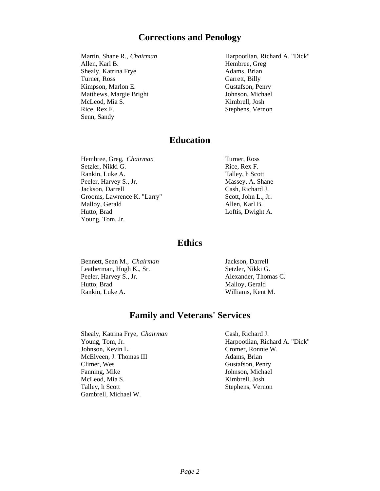# **Corrections and Penology**

Martin, Shane R., *Chairman* Allen, Karl B. Shealy, Katrina Frye Turner, Ross Kimpson, Marlon E. Matthews, Margie Bright McLeod, Mia S. Rice, Rex F. Senn, Sandy

Harpootlian, Richard A. "Dick" Hembree, Greg Adams, Brian Garrett, Billy Gustafson, Penry Johnson, Michael Kimbrell, Josh Stephens, Vernon

## **Education**

Hembree, Greg, *Chairman* Setzler, Nikki G. Rankin, Luke A. Peeler, Harvey S., Jr. Jackson, Darrell Grooms, Lawrence K. "Larry" Malloy, Gerald Hutto, Brad Young, Tom, Jr.

Turner, Ross Rice, Rex F. Talley, h Scott Massey, A. Shane Cash, Richard J. Scott, John L., Jr. Allen, Karl B. Loftis, Dwight A.

## **Ethics**

Bennett, Sean M., *Chairman* Leatherman, Hugh K., Sr. Peeler, Harvey S., Jr. Hutto, Brad Rankin, Luke A.

Jackson, Darrell Setzler, Nikki G. Alexander, Thomas C. Malloy, Gerald Williams, Kent M.

# **Family and Veterans' Services**

Shealy, Katrina Frye, *Chairman* Young, Tom, Jr. Johnson, Kevin L. McElveen, J. Thomas III Climer, Wes Fanning, Mike McLeod, Mia S. Talley, h Scott Gambrell, Michael W.

Cash, Richard J. Harpootlian, Richard A. "Dick" Cromer, Ronnie W. Adams, Brian Gustafson, Penry Johnson, Michael Kimbrell, Josh Stephens, Vernon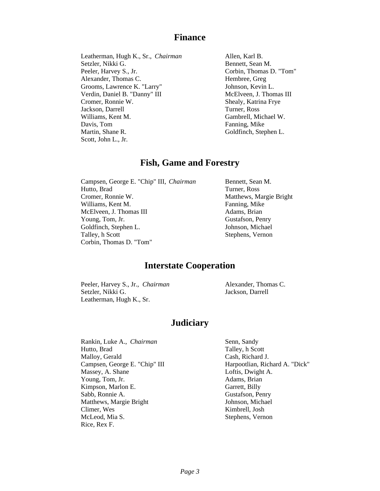### **Finance**

Leatherman, Hugh K., Sr., *Chairman* Setzler, Nikki G. Peeler, Harvey S., Jr. Alexander, Thomas C. Grooms, Lawrence K. "Larry" Verdin, Daniel B. "Danny" III Cromer, Ronnie W. Jackson, Darrell Williams, Kent M. Davis, Tom Martin, Shane R. Scott, John L., Jr.

Allen, Karl B. Bennett, Sean M. Corbin, Thomas D. "Tom" Hembree, Greg Johnson, Kevin L. McElveen, J. Thomas III Shealy, Katrina Frye Turner, Ross Gambrell, Michael W. Fanning, Mike Goldfinch, Stephen L.

### **Fish, Game and Forestry**

Campsen, George E. "Chip" III, *Chairman* Hutto, Brad Cromer, Ronnie W. Williams, Kent M. McElveen, J. Thomas III Young, Tom, Jr. Goldfinch, Stephen L. Talley, h Scott Corbin, Thomas D. "Tom"

Bennett, Sean M. Turner, Ross Matthews, Margie Bright Fanning, Mike Adams, Brian Gustafson, Penry Johnson, Michael Stephens, Vernon

## **Interstate Cooperation**

Peeler, Harvey S., Jr., *Chairman* Setzler, Nikki G. Leatherman, Hugh K., Sr.

Alexander, Thomas C. Jackson, Darrell

### **Judiciary**

Rankin, Luke A., *Chairman* Hutto, Brad Malloy, Gerald Campsen, George E. "Chip" III Massey, A. Shane Young, Tom, Jr. Kimpson, Marlon E. Sabb, Ronnie A. Matthews, Margie Bright Climer, Wes McLeod, Mia S. Rice, Rex F.

Senn, Sandy Talley, h Scott Cash, Richard J. Harpootlian, Richard A. "Dick" Loftis, Dwight A. Adams, Brian Garrett, Billy Gustafson, Penry Johnson, Michael Kimbrell, Josh Stephens, Vernon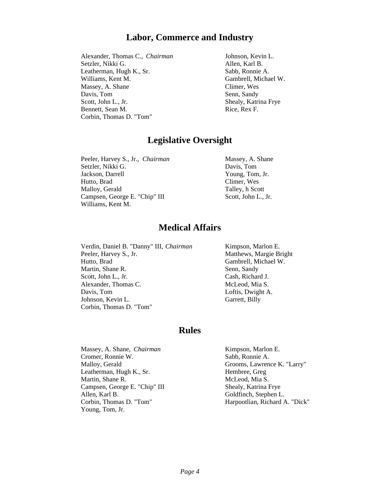# **Labor, Commerce and Industry**

Alexander, Thomas C., *Chairman* Setzler, Nikki G. Leatherman, Hugh K., Sr. Williams, Kent M. Massey, A. Shane Davis, Tom Scott, John L., Jr. Bennett, Sean M. Corbin, Thomas D. "Tom"

Johnson, Kevin L. Allen, Karl B. Sabb, Ronnie A. Gambrell, Michael W. Climer, Wes Senn, Sandy Shealy, Katrina Frye Rice, Rex F.

# **Legislative Oversight**

Peeler, Harvey S., Jr., *Chairman* Setzler, Nikki G. Jackson, Darrell Hutto, Brad Malloy, Gerald Campsen, George E. "Chip" III Williams, Kent M.

Massey, A. Shane Davis, Tom Young, Tom, Jr. Climer, Wes Talley, h Scott Scott, John L., Jr.

# **Medical Affairs**

Verdin, Daniel B. "Danny" III, *Chairman* Peeler, Harvey S., Jr. Hutto, Brad Martin, Shane R. Scott, John L., Jr. Alexander, Thomas C. Davis, Tom Johnson, Kevin L. Corbin, Thomas D. "Tom"

Kimpson, Marlon E. Matthews, Margie Bright Gambrell, Michael W. Senn, Sandy Cash, Richard J. McLeod, Mia S. Loftis, Dwight A. Garrett, Billy

### **Rules**

Massey, A. Shane, *Chairman* Cromer, Ronnie W. Malloy, Gerald Leatherman, Hugh K., Sr. Martin, Shane R. Campsen, George E. "Chip" III Allen, Karl B. Corbin, Thomas D. "Tom" Young, Tom, Jr.

Kimpson, Marlon E. Sabb, Ronnie A. Grooms, Lawrence K. "Larry" Hembree, Greg McLeod, Mia S. Shealy, Katrina Frye Goldfinch, Stephen L. Harpootlian, Richard A. "Dick"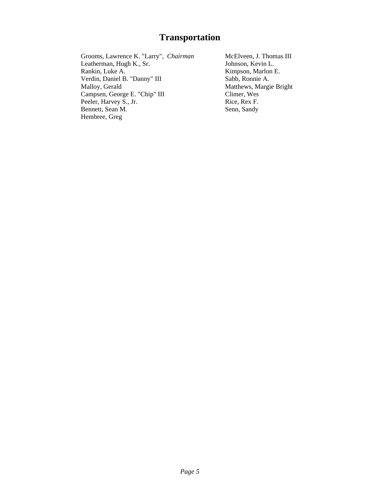# **Transportation**

Grooms, Lawrence K. "Larry", *Chairman* Leatherman, Hugh K., Sr. Rankin, Luke A. Verdin, Daniel B. "Danny" III Malloy, Gerald Campsen, George E. "Chip" III Peeler, Harvey S., Jr. Bennett, Sean M. Hembree, Greg

McElveen, J. Thomas III Johnson, Kevin L. Kimpson, Marlon E. Sabb, Ronnie A. Matthews, Margie Bright Climer, Wes Rice, Rex F. Senn, Sandy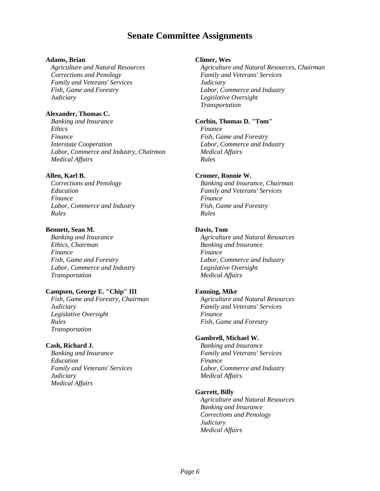# **Senate Committee Assignments**

#### **Adams, Brian**

*Agriculture and Natural Resources Corrections and Penology Family and Veterans' Services Fish, Game and Forestry Judiciary*

#### **Alexander, Thomas C.**

*Banking and Insurance Ethics Finance Interstate Cooperation Labor, Commerce and Industry, Chairman Medical Affairs*

#### **Allen, Karl B.**

*Corrections and Penology Education Finance Labor, Commerce and Industry Rules*

#### **Bennett, Sean M.**

*Banking and Insurance Ethics, Chairman Finance Fish, Game and Forestry Labor, Commerce and Industry Transportation*

#### **Campsen, George E. "Chip" III**

*Fish, Game and Forestry, Chairman Judiciary Legislative Oversight Rules Transportation*

#### **Cash, Richard J.**

*Banking and Insurance Education Family and Veterans' Services Judiciary Medical Affairs*

#### **Climer, Wes**

*Agriculture and Natural Resources, Chairman Family and Veterans' Services Judiciary Labor, Commerce and Industry Legislative Oversight Transportation*

#### **Corbin, Thomas D. "Tom"**

*Finance Fish, Game and Forestry Labor, Commerce and Industry Medical Affairs Rules*

#### **Cromer, Ronnie W.**

*Banking and Insurance, Chairman Family and Veterans' Services Finance Fish, Game and Forestry Rules*

#### **Davis, Tom**

*Agriculture and Natural Resources Banking and Insurance Finance Labor, Commerce and Industry Legislative Oversight Medical Affairs*

#### **Fanning, Mike**

*Agriculture and Natural Resources Family and Veterans' Services Finance Fish, Game and Forestry*

#### **Gambrell, Michael W.**

*Banking and Insurance Family and Veterans' Services Finance Labor, Commerce and Industry Medical Affairs*

#### **Garrett, Billy**

*Agriculture and Natural Resources Banking and Insurance Corrections and Penology Judiciary Medical Affairs*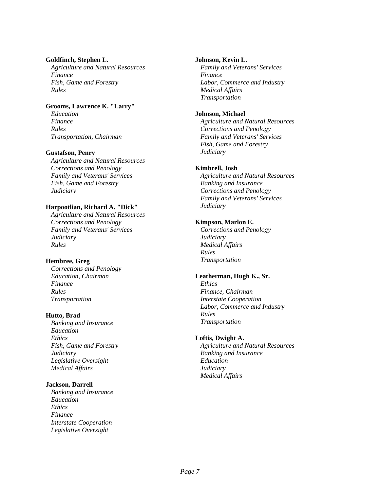#### **Goldfinch, Stephen L.**

*Agriculture and Natural Resources Finance Fish, Game and Forestry Rules*

#### **Grooms, Lawrence K. "Larry"**

*Education Finance Rules Transportation, Chairman*

#### **Gustafson, Penry**

*Agriculture and Natural Resources Corrections and Penology Family and Veterans' Services Fish, Game and Forestry Judiciary*

#### **Harpootlian, Richard A. "Dick"**

*Agriculture and Natural Resources Corrections and Penology Family and Veterans' Services Judiciary Rules*

#### **Hembree, Greg**

*Corrections and Penology Education, Chairman Finance Rules Transportation*

#### **Hutto, Brad**

*Banking and Insurance Education Ethics Fish, Game and Forestry Judiciary Legislative Oversight Medical Affairs*

#### **Jackson, Darrell**

*Banking and Insurance Education Ethics Finance Interstate Cooperation Legislative Oversight*

#### **Johnson, Kevin L.**

*Family and Veterans' Services Finance Labor, Commerce and Industry Medical Affairs Transportation*

#### **Johnson, Michael**

*Agriculture and Natural Resources Corrections and Penology Family and Veterans' Services Fish, Game and Forestry Judiciary*

#### **Kimbrell, Josh**

*Agriculture and Natural Resources Banking and Insurance Corrections and Penology Family and Veterans' Services Judiciary*

#### **Kimpson, Marlon E.**

*Corrections and Penology Judiciary Medical Affairs Rules Transportation*

#### **Leatherman, Hugh K., Sr.**

*Ethics Finance, Chairman Interstate Cooperation Labor, Commerce and Industry Rules Transportation*

#### **Loftis, Dwight A.**

*Agriculture and Natural Resources Banking and Insurance Education Judiciary Medical Affairs*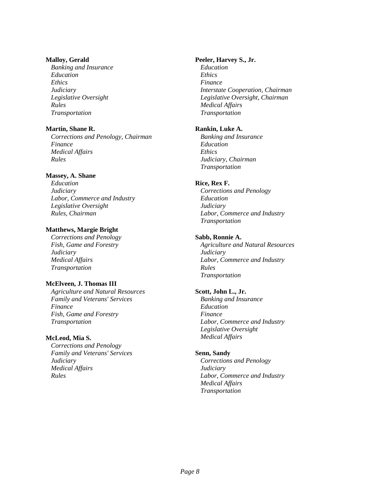#### **Malloy, Gerald**

*Banking and Insurance Education Ethics Judiciary Legislative Oversight Rules Transportation*

#### **Martin, Shane R.**

*Corrections and Penology, Chairman Finance Medical Affairs Rules*

#### **Massey, A. Shane**

*Education Judiciary Labor, Commerce and Industry Legislative Oversight Rules, Chairman*

#### **Matthews, Margie Bright**

*Corrections and Penology Fish, Game and Forestry Judiciary Medical Affairs Transportation*

#### **McElveen, J. Thomas III**

*Agriculture and Natural Resources Family and Veterans' Services Finance Fish, Game and Forestry Transportation*

#### **McLeod, Mia S.**

*Corrections and Penology Family and Veterans' Services Judiciary Medical Affairs Rules*

#### **Peeler, Harvey S., Jr.**

*Education Ethics Finance Interstate Cooperation, Chairman Legislative Oversight, Chairman Medical Affairs Transportation*

#### **Rankin, Luke A.**

*Banking and Insurance Education Ethics Judiciary, Chairman Transportation*

#### **Rice, Rex F.**

*Corrections and Penology Education Judiciary Labor, Commerce and Industry Transportation*

#### **Sabb, Ronnie A.**

*Agriculture and Natural Resources Judiciary Labor, Commerce and Industry Rules Transportation*

#### **Scott, John L., Jr.**

*Banking and Insurance Education Finance Labor, Commerce and Industry Legislative Oversight Medical Affairs*

#### **Senn, Sandy**

*Corrections and Penology Judiciary Labor, Commerce and Industry Medical Affairs Transportation*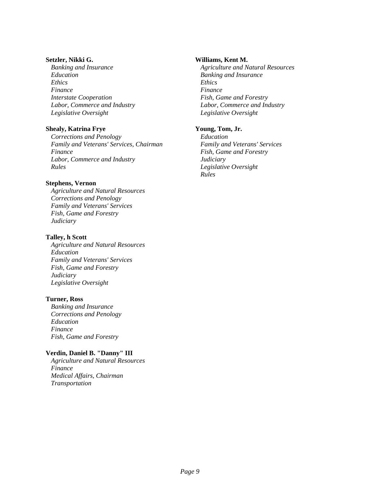#### **Setzler, Nikki G.**

*Banking and Insurance Education Ethics Finance Interstate Cooperation Labor, Commerce and Industry Legislative Oversight*

#### **Shealy, Katrina Frye**

*Corrections and Penology Family and Veterans' Services, Chairman Finance Labor, Commerce and Industry Rules*

#### **Stephens, Vernon**

*Agriculture and Natural Resources Corrections and Penology Family and Veterans' Services Fish, Game and Forestry Judiciary*

#### **Talley, h Scott**

*Agriculture and Natural Resources Education Family and Veterans' Services Fish, Game and Forestry Judiciary Legislative Oversight*

#### **Turner, Ross**

*Banking and Insurance Corrections and Penology Education Finance Fish, Game and Forestry*

#### **Verdin, Daniel B. "Danny" III**

*Agriculture and Natural Resources Finance Medical Affairs, Chairman Transportation*

#### **Williams, Kent M.**

*Agriculture and Natural Resources Banking and Insurance Ethics Finance Fish, Game and Forestry Labor, Commerce and Industry Legislative Oversight*

#### **Young, Tom, Jr.**

*Education Family and Veterans' Services Fish, Game and Forestry Judiciary Legislative Oversight Rules*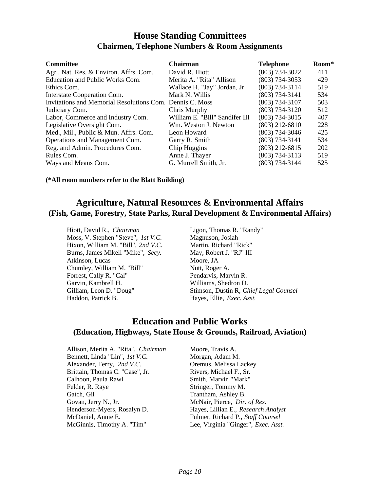# **House Standing Committees Chairmen, Telephone Numbers & Room Assignments**

| <b>Committee</b>                                         | <b>Chairman</b>                | <b>Telephone</b>   | Room* |
|----------------------------------------------------------|--------------------------------|--------------------|-------|
| Agr., Nat. Res. & Environ. Affrs. Com.                   | David R. Hiott                 | $(803)$ 734-3022   | 411   |
| Education and Public Works Com.                          | Merita A. "Rita" Allison       | $(803)$ 734-3053   | 429   |
| Ethics Com.                                              | Wallace H. "Jay" Jordan, Jr.   | $(803) 734 - 3114$ | 519   |
| Interstate Cooperation Com.                              | Mark N. Willis                 | $(803) 734 - 3141$ | 534   |
| Invitations and Memorial Resolutions Com. Dennis C. Moss |                                | (803) 734-3107     | 503   |
| Judiciary Com.                                           | Chris Murphy                   | (803) 734-3120     | 512   |
| Labor, Commerce and Industry Com.                        | William E. "Bill" Sandifer III | $(803)$ 734-3015   | 407   |
| Legislative Oversight Com.                               | Wm. Weston J. Newton           | $(803)$ 212-6810   | 228   |
| Med., Mil., Public & Mun. Affrs. Com.                    | Leon Howard                    | $(803)$ 734-3046   | 425   |
| Operations and Management Com.                           | Garry R. Smith                 | $(803) 734 - 3141$ | 534   |
| Reg. and Admin. Procedures Com.                          | Chip Huggins                   | $(803)$ 212-6815   | 202   |
| Rules Com.                                               | Anne J. Thayer                 | $(803)$ 734-3113   | 519   |
| Ways and Means Com.                                      | G. Murrell Smith, Jr.          | (803) 734-3144     | 525   |

**(\*All room numbers refer to the Blatt Building)**

# **Agriculture, Natural Resources & Environmental Affairs (Fish, Game, Forestry, State Parks, Rural Development & Environmental Affairs)**

Hiott, David R., *Chairman* Moss, V. Stephen "Steve", *1st V.C.* Hixon, William M. "Bill", *2nd V.C.* Burns, James Mikell "Mike", *Secy.* Atkinson, Lucas Chumley, William M. "Bill" Forrest, Cally R. "Cal" Garvin, Kambrell H. Gilliam, Leon D. "Doug" Haddon, Patrick B.

Ligon, Thomas R. "Randy" Magnuson, Josiah Martin, Richard "Rick" May, Robert J. "RJ" III Moore, JA Nutt, Roger A. Pendarvis, Marvin R. Williams, Shedron D. Stimson, Dustin R, *Chief Legal Counsel* Hayes, Ellie, *Exec. Asst.*

# **Education and Public Works (Education, Highways, State House & Grounds, Railroad, Aviation)**

Allison, Merita A. "Rita", *Chairman* Bennett, Linda "Lin", *1st V.C.* Alexander, Terry, *2nd V.C.* Brittain, Thomas C. "Case", Jr. Calhoon, Paula Rawl Felder, R. Raye Gatch, Gil Govan, Jerry N., Jr. Henderson-Myers, Rosalyn D. McDaniel, Annie E. McGinnis, Timothy A. "Tim"

Moore, Travis A. Morgan, Adam M. Oremus, Melissa Lackey Rivers, Michael F., Sr. Smith, Marvin "Mark" Stringer, Tommy M. Trantham, Ashley B. McNair, Pierce, *Dir. of Res.* Hayes, Lillian E., *Research Analyst* Fulmer, Richard P., *Staff Counsel* Lee, Virginia "Ginger", *Exec. Asst.*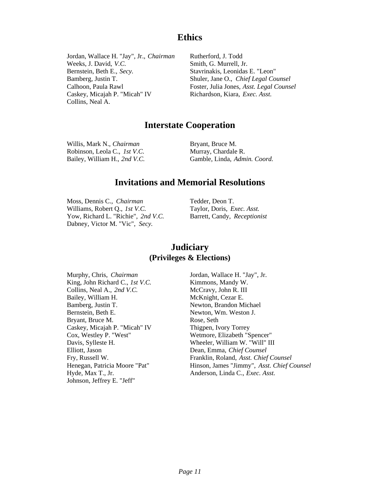# **Ethics**

Jordan, Wallace H. "Jay", Jr., *Chairman* Weeks, J. David, *V.C.* Bernstein, Beth E., *Secy.* Bamberg, Justin T. Calhoon, Paula Rawl Caskey, Micajah P. "Micah" IV Collins, Neal A.

Rutherford, J. Todd Smith, G. Murrell, Jr. Stavrinakis, Leonidas E. "Leon" Shuler, Jane O., *Chief Legal Counsel* Foster, Julia Jones, *Asst. Legal Counsel* Richardson, Kiara, *Exec. Asst.*

# **Interstate Cooperation**

Willis, Mark N., *Chairman* Robinson, Leola C., *1st V.C.* Bailey, William H., *2nd V.C.* Bryant, Bruce M. Murray, Chardale R. Gamble, Linda, *Admin. Coord.*

# **Invitations and Memorial Resolutions**

Moss, Dennis C., *Chairman* Williams, Robert Q., *1st V.C.* Yow, Richard L. "Richie", *2nd V.C.* Dabney, Victor M. "Vic", *Secy.*

Tedder, Deon T. Taylor, Doris, *Exec. Asst.* Barrett, Candy, *Receptionist*

# **Judiciary (Privileges & Elections)**

Murphy, Chris, *Chairman* King, John Richard C., *1st V.C.* Collins, Neal A., *2nd V.C.* Bailey, William H. Bamberg, Justin T. Bernstein, Beth E. Bryant, Bruce M. Caskey, Micajah P. "Micah" IV Cox, Westley P. "West" Davis, Sylleste H. Elliott, Jason Fry, Russell W. Henegan, Patricia Moore "Pat" Hyde, Max T., Jr. Johnson, Jeffrey E. "Jeff"

Jordan, Wallace H. "Jay", Jr. Kimmons, Mandy W. McCravy, John R. III McKnight, Cezar E. Newton, Brandon Michael Newton, Wm. Weston J. Rose, Seth Thigpen, Ivory Torrey Wetmore, Elizabeth "Spencer" Wheeler, William W. "Will" III Dean, Emma, *Chief Counsel* Franklin, Roland, *Asst. Chief Counsel* Hinson, James "Jimmy", *Asst. Chief Counsel* Anderson, Linda C., *Exec. Asst.*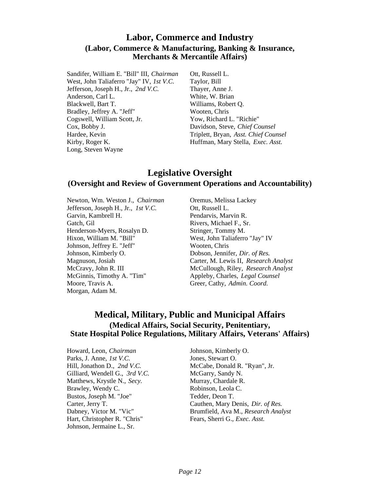# **Labor, Commerce and Industry (Labor, Commerce & Manufacturing, Banking & Insurance, Merchants & Mercantile Affairs)**

Sandifer, William E. "Bill" III, *Chairman* West, John Taliaferro "Jay" IV, *1st V.C.* Jefferson, Joseph H., Jr., *2nd V.C.* Anderson, Carl L. Blackwell, Bart T. Bradley, Jeffrey A. "Jeff" Cogswell, William Scott, Jr. Cox, Bobby J. Hardee, Kevin Kirby, Roger K. Long, Steven Wayne

Ott, Russell L. Taylor, Bill Thayer, Anne J. White, W. Brian Williams, Robert Q. Wooten, Chris Yow, Richard L. "Richie" Davidson, Steve, *Chief Counsel* Triplett, Bryan, *Asst. Chief Counsel* Huffman, Mary Stella, *Exec. Asst.*

# **Legislative Oversight (Oversight and Review of Government Operations and Accountability)**

Newton, Wm. Weston J., *Chairman* Jefferson, Joseph H., Jr., *1st V.C.* Garvin, Kambrell H. Gatch, Gil Henderson-Myers, Rosalyn D. Hixon, William M. "Bill" Johnson, Jeffrey E. "Jeff" Johnson, Kimberly O. Magnuson, Josiah McCravy, John R. III McGinnis, Timothy A. "Tim" Moore, Travis A. Morgan, Adam M.

Oremus, Melissa Lackey Ott, Russell L. Pendarvis, Marvin R. Rivers, Michael F., Sr. Stringer, Tommy M. West, John Taliaferro "Jay" IV Wooten, Chris Dobson, Jennifer, *Dir. of Res.* Carter, M. Lewis II, *Research Analyst* McCullough, Riley, *Research Analyst* Appleby, Charles, *Legal Counsel* Greer, Cathy, *Admin. Coord.*

# **Medical, Military, Public and Municipal Affairs (Medical Affairs, Social Security, Penitentiary, State Hospital Police Regulations, Military Affairs, Veterans' Affairs)**

Howard, Leon, *Chairman* Parks, J. Anne, *1st V.C.* Hill, Jonathon D., *2nd V.C.* Gilliard, Wendell G., *3rd V.C.* Matthews, Krystle N., *Secy.* Brawley, Wendy C. Bustos, Joseph M. "Joe" Carter, Jerry T. Dabney, Victor M. "Vic" Hart, Christopher R. "Chris" Johnson, Jermaine L., Sr.

Johnson, Kimberly O. Jones, Stewart O. McCabe, Donald R. "Ryan", Jr. McGarry, Sandy N. Murray, Chardale R. Robinson, Leola C. Tedder, Deon T. Cauthen, Mary Denis, *Dir. of Res.* Brumfield, Ava M., *Research Analyst* Fears, Sherri G., *Exec. Asst.*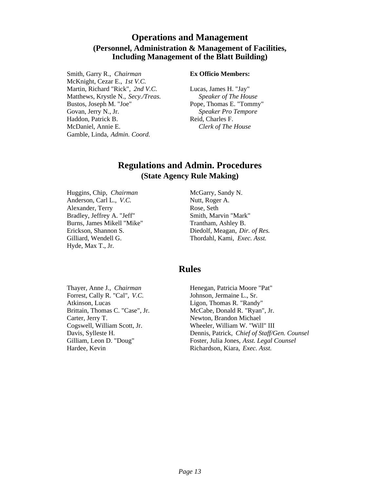# **Operations and Management (Personnel, Administration & Management of Facilities, Including Management of the Blatt Building)**

Smith, Garry R., *Chairman* McKnight, Cezar E., *1st V.C.* Martin, Richard "Rick", *2nd V.C.* Matthews, Krystle N., *Secy./Treas.* Bustos, Joseph M. "Joe" Govan, Jerry N., Jr. Haddon, Patrick B. McDaniel, Annie E. Gamble, Linda, *Admin. Coord.*

#### **Ex Officio Members:**

Lucas, James H. "Jay" *Speaker of The House* Pope, Thomas E. "Tommy" *Speaker Pro Tempore* Reid, Charles F. *Clerk of The House*

# **Regulations and Admin. Procedures (State Agency Rule Making)**

Huggins, Chip, *Chairman* Anderson, Carl L., *V.C.* Alexander, Terry Bradley, Jeffrey A. "Jeff" Burns, James Mikell "Mike" Erickson, Shannon S. Gilliard, Wendell G. Hyde, Max T., Jr.

McGarry, Sandy N. Nutt, Roger A. Rose, Seth Smith, Marvin "Mark" Trantham, Ashley B. Diedolf, Meagan, *Dir. of Res.* Thordahl, Kami, *Exec. Asst.*

# **Rules**

Thayer, Anne J., *Chairman* Forrest, Cally R. "Cal", *V.C.* Atkinson, Lucas Brittain, Thomas C. "Case", Jr. Carter, Jerry T. Cogswell, William Scott, Jr. Davis, Sylleste H. Gilliam, Leon D. "Doug" Hardee, Kevin

Henegan, Patricia Moore "Pat" Johnson, Jermaine L., Sr. Ligon, Thomas R. "Randy" McCabe, Donald R. "Ryan", Jr. Newton, Brandon Michael Wheeler, William W. "Will" III Dennis, Patrick, *Chief of Staff/Gen. Counsel* Foster, Julia Jones, *Asst. Legal Counsel* Richardson, Kiara, *Exec. Asst.*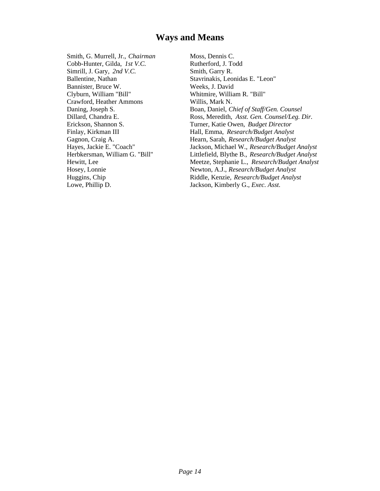# **Ways and Means**

Smith, G. Murrell, Jr., *Chairman* Cobb-Hunter, Gilda, *1st V.C.* Simrill, J. Gary, *2nd V.C.* Ballentine, Nathan Bannister, Bruce W. Clyburn, William "Bill" Crawford, Heather Ammons Daning, Joseph S. Dillard, Chandra E. Erickson, Shannon S. Finlay, Kirkman III Gagnon, Craig A. Hayes, Jackie E. "Coach" Herbkersman, William G. "Bill" Hewitt, Lee Hosey, Lonnie Huggins, Chip Lowe, Phillip D.

Moss, Dennis C. Rutherford, J. Todd Smith, Garry R. Stavrinakis, Leonidas E. "Leon" Weeks, J. David Whitmire, William R. "Bill" Willis, Mark N. Boan, Daniel, *Chief of Staff/Gen. Counsel* Ross, Meredith, *Asst. Gen. Counsel/Leg. Dir.* Turner, Katie Owen, *Budget Director* Hall, Emma, *Research/Budget Analyst* Hearn, Sarah, *Research/Budget Analyst* Jackson, Michael W., *Research/Budget Analyst* Littlefield, Blythe B., *Research/Budget Analyst* Meetze, Stephanie L., *Research/Budget Analyst* Newton, A.J., *Research/Budget Analyst* Riddle, Kenzie, *Research/Budget Analyst* Jackson, Kimberly G., *Exec. Asst.*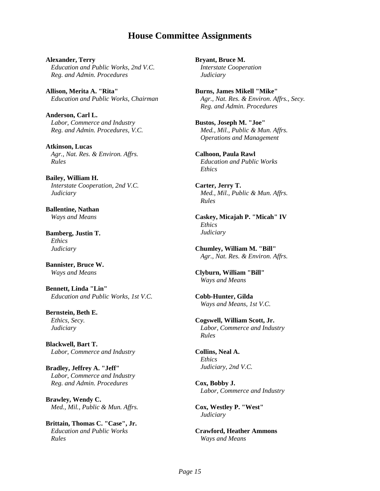# **House Committee Assignments**

**Alexander, Terry** *Education and Public Works, 2nd V.C. Reg. and Admin. Procedures*

**Allison, Merita A. "Rita"** *Education and Public Works, Chairman*

**Anderson, Carl L.** *Labor, Commerce and Industry Reg. and Admin. Procedures, V.C.*

**Atkinson, Lucas** *Agr., Nat. Res. & Environ. Affrs. Rules*

**Bailey, William H.** *Interstate Cooperation, 2nd V.C. Judiciary*

**Ballentine, Nathan** *Ways and Means*

**Bamberg, Justin T.** *Ethics Judiciary*

**Bannister, Bruce W.** *Ways and Means*

**Bennett, Linda "Lin"** *Education and Public Works, 1st V.C.*

**Bernstein, Beth E.** *Ethics, Secy. Judiciary*

**Blackwell, Bart T.** *Labor, Commerce and Industry*

**Bradley, Jeffrey A. "Jeff"** *Labor, Commerce and Industry Reg. and Admin. Procedures*

**Brawley, Wendy C.** *Med., Mil., Public & Mun. Affrs.*

**Brittain, Thomas C. "Case", Jr.** *Education and Public Works Rules*

**Bryant, Bruce M.** *Interstate Cooperation Judiciary*

**Burns, James Mikell "Mike"** *Agr., Nat. Res. & Environ. Affrs., Secy. Reg. and Admin. Procedures*

**Bustos, Joseph M. "Joe"** *Med., Mil., Public & Mun. Affrs. Operations and Management*

**Calhoon, Paula Rawl** *Education and Public Works Ethics*

**Carter, Jerry T.** *Med., Mil., Public & Mun. Affrs. Rules*

**Caskey, Micajah P. "Micah" IV** *Ethics Judiciary*

**Chumley, William M. "Bill"** *Agr., Nat. Res. & Environ. Affrs.*

**Clyburn, William "Bill"** *Ways and Means*

**Cobb-Hunter, Gilda** *Ways and Means, 1st V.C.*

**Cogswell, William Scott, Jr.** *Labor, Commerce and Industry Rules*

**Collins, Neal A.** *Ethics Judiciary, 2nd V.C.*

**Cox, Bobby J.** *Labor, Commerce and Industry*

**Cox, Westley P. "West"** *Judiciary*

**Crawford, Heather Ammons** *Ways and Means*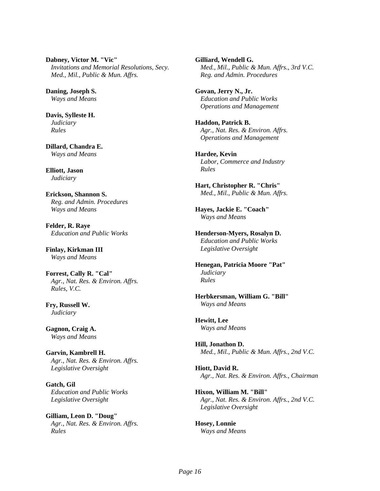**Dabney, Victor M. "Vic"** *Invitations and Memorial Resolutions, Secy. Med., Mil., Public & Mun. Affrs.*

**Daning, Joseph S.** *Ways and Means*

**Davis, Sylleste H.** *Judiciary Rules*

**Dillard, Chandra E.** *Ways and Means*

**Elliott, Jason** *Judiciary*

**Erickson, Shannon S.** *Reg. and Admin. Procedures Ways and Means*

**Felder, R. Raye** *Education and Public Works*

**Finlay, Kirkman III** *Ways and Means*

**Forrest, Cally R. "Cal"** *Agr., Nat. Res. & Environ. Affrs. Rules, V.C.*

**Fry, Russell W.** *Judiciary*

**Gagnon, Craig A.** *Ways and Means*

**Garvin, Kambrell H.** *Agr., Nat. Res. & Environ. Affrs. Legislative Oversight*

**Gatch, Gil** *Education and Public Works Legislative Oversight*

**Gilliam, Leon D. "Doug"** *Agr., Nat. Res. & Environ. Affrs. Rules*

**Gilliard, Wendell G.** *Med., Mil., Public & Mun. Affrs., 3rd V.C. Reg. and Admin. Procedures*

**Govan, Jerry N., Jr.** *Education and Public Works Operations and Management*

**Haddon, Patrick B.** *Agr., Nat. Res. & Environ. Affrs. Operations and Management*

**Hardee, Kevin** *Labor, Commerce and Industry Rules*

**Hart, Christopher R. "Chris"** *Med., Mil., Public & Mun. Affrs.*

**Hayes, Jackie E. "Coach"** *Ways and Means*

**Henderson-Myers, Rosalyn D.** *Education and Public Works Legislative Oversight*

**Henegan, Patricia Moore "Pat"** *Judiciary Rules*

**Herbkersman, William G. "Bill"** *Ways and Means*

**Hewitt, Lee** *Ways and Means*

**Hill, Jonathon D.** *Med., Mil., Public & Mun. Affrs., 2nd V.C.*

**Hiott, David R.** *Agr., Nat. Res. & Environ. Affrs., Chairman*

**Hixon, William M. "Bill"** *Agr., Nat. Res. & Environ. Affrs., 2nd V.C. Legislative Oversight*

**Hosey, Lonnie** *Ways and Means*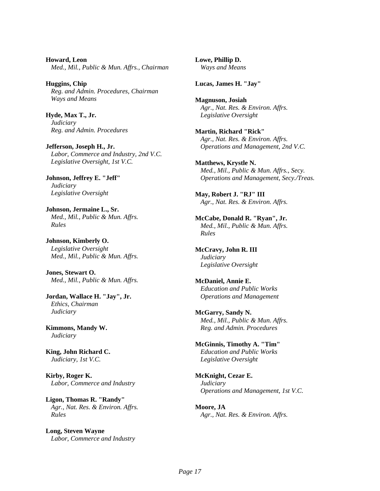**Howard, Leon** *Med., Mil., Public & Mun. Affrs., Chairman*

**Huggins, Chip** *Reg. and Admin. Procedures, Chairman Ways and Means*

**Hyde, Max T., Jr.** *Judiciary Reg. and Admin. Procedures*

**Jefferson, Joseph H., Jr.** *Labor, Commerce and Industry, 2nd V.C. Legislative Oversight, 1st V.C.*

**Johnson, Jeffrey E. "Jeff"** *Judiciary Legislative Oversight*

**Johnson, Jermaine L., Sr.** *Med., Mil., Public & Mun. Affrs. Rules*

**Johnson, Kimberly O.** *Legislative Oversight Med., Mil., Public & Mun. Affrs.*

**Jones, Stewart O.** *Med., Mil., Public & Mun. Affrs.*

**Jordan, Wallace H. "Jay", Jr.** *Ethics, Chairman Judiciary*

**Kimmons, Mandy W.** *Judiciary*

**King, John Richard C.** *Judiciary, 1st V.C.*

**Kirby, Roger K.** *Labor, Commerce and Industry*

**Ligon, Thomas R. "Randy"** *Agr., Nat. Res. & Environ. Affrs. Rules*

**Long, Steven Wayne** *Labor, Commerce and Industry* **Lowe, Phillip D.** *Ways and Means*

**Lucas, James H. "Jay"**

**Magnuson, Josiah** *Agr., Nat. Res. & Environ. Affrs. Legislative Oversight*

**Martin, Richard "Rick"** *Agr., Nat. Res. & Environ. Affrs. Operations and Management, 2nd V.C.*

**Matthews, Krystle N.** *Med., Mil., Public & Mun. Affrs., Secy. Operations and Management, Secy./Treas.*

**May, Robert J. "RJ" III** *Agr., Nat. Res. & Environ. Affrs.*

**McCabe, Donald R. "Ryan", Jr.** *Med., Mil., Public & Mun. Affrs. Rules*

**McCravy, John R. III** *Judiciary Legislative Oversight*

**McDaniel, Annie E.** *Education and Public Works Operations and Management*

**McGarry, Sandy N.** *Med., Mil., Public & Mun. Affrs. Reg. and Admin. Procedures*

**McGinnis, Timothy A. "Tim"** *Education and Public Works Legislative Oversight*

**McKnight, Cezar E.** *Judiciary Operations and Management, 1st V.C.*

**Moore, JA** *Agr., Nat. Res. & Environ. Affrs.*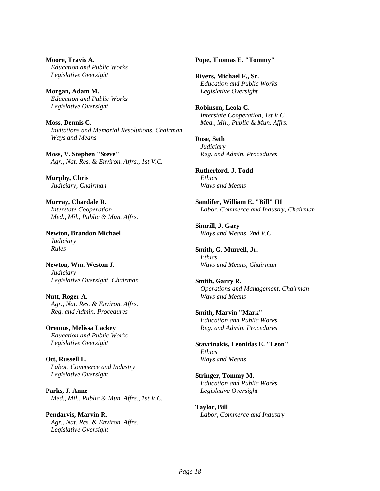**Moore, Travis A.** *Education and Public Works Legislative Oversight*

**Morgan, Adam M.** *Education and Public Works Legislative Oversight*

**Moss, Dennis C.** *Invitations and Memorial Resolutions, Chairman Ways and Means*

**Moss, V. Stephen "Steve"** *Agr., Nat. Res. & Environ. Affrs., 1st V.C.*

**Murphy, Chris** *Judiciary, Chairman*

**Murray, Chardale R.** *Interstate Cooperation Med., Mil., Public & Mun. Affrs.*

**Newton, Brandon Michael** *Judiciary Rules*

**Newton, Wm. Weston J.** *Judiciary Legislative Oversight, Chairman*

**Nutt, Roger A.** *Agr., Nat. Res. & Environ. Affrs. Reg. and Admin. Procedures*

**Oremus, Melissa Lackey** *Education and Public Works Legislative Oversight*

**Ott, Russell L.** *Labor, Commerce and Industry Legislative Oversight*

**Parks, J. Anne** *Med., Mil., Public & Mun. Affrs., 1st V.C.*

**Pendarvis, Marvin R.** *Agr., Nat. Res. & Environ. Affrs. Legislative Oversight*

**Pope, Thomas E. "Tommy"**

**Rivers, Michael F., Sr.** *Education and Public Works Legislative Oversight*

**Robinson, Leola C.** *Interstate Cooperation, 1st V.C. Med., Mil., Public & Mun. Affrs.*

**Rose, Seth** *Judiciary Reg. and Admin. Procedures*

**Rutherford, J. Todd** *Ethics Ways and Means*

**Sandifer, William E. "Bill" III** *Labor, Commerce and Industry, Chairman*

**Simrill, J. Gary** *Ways and Means, 2nd V.C.*

**Smith, G. Murrell, Jr.** *Ethics Ways and Means, Chairman*

**Smith, Garry R.** *Operations and Management, Chairman Ways and Means*

**Smith, Marvin "Mark"** *Education and Public Works Reg. and Admin. Procedures*

**Stavrinakis, Leonidas E. "Leon"** *Ethics Ways and Means*

**Stringer, Tommy M.** *Education and Public Works Legislative Oversight*

**Taylor, Bill** *Labor, Commerce and Industry*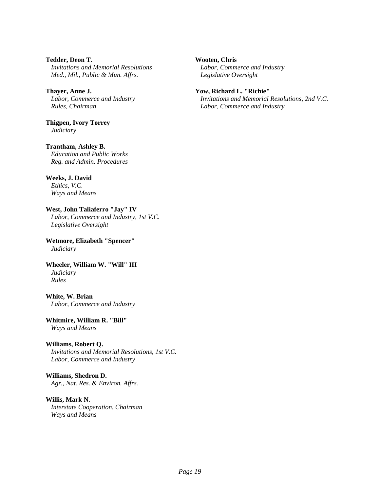**Tedder, Deon T.** *Invitations and Memorial Resolutions Med., Mil., Public & Mun. Affrs.*

**Thayer, Anne J.** *Labor, Commerce and Industry Rules, Chairman*

**Thigpen, Ivory Torrey** *Judiciary*

**Trantham, Ashley B.** *Education and Public Works Reg. and Admin. Procedures*

**Weeks, J. David** *Ethics, V.C. Ways and Means*

#### **West, John Taliaferro "Jay" IV** *Labor, Commerce and Industry, 1st V.C. Legislative Oversight*

**Wetmore, Elizabeth "Spencer"** *Judiciary*

**Wheeler, William W. "Will" III** *Judiciary Rules*

**White, W. Brian** *Labor, Commerce and Industry*

**Whitmire, William R. "Bill"** *Ways and Means*

#### **Williams, Robert Q.**

*Invitations and Memorial Resolutions, 1st V.C. Labor, Commerce and Industry*

**Williams, Shedron D.** *Agr., Nat. Res. & Environ. Affrs.*

#### **Willis, Mark N.**

*Interstate Cooperation, Chairman Ways and Means*

#### **Wooten, Chris**

*Labor, Commerce and Industry Legislative Oversight*

#### **Yow, Richard L. "Richie"**

*Invitations and Memorial Resolutions, 2nd V.C. Labor, Commerce and Industry*